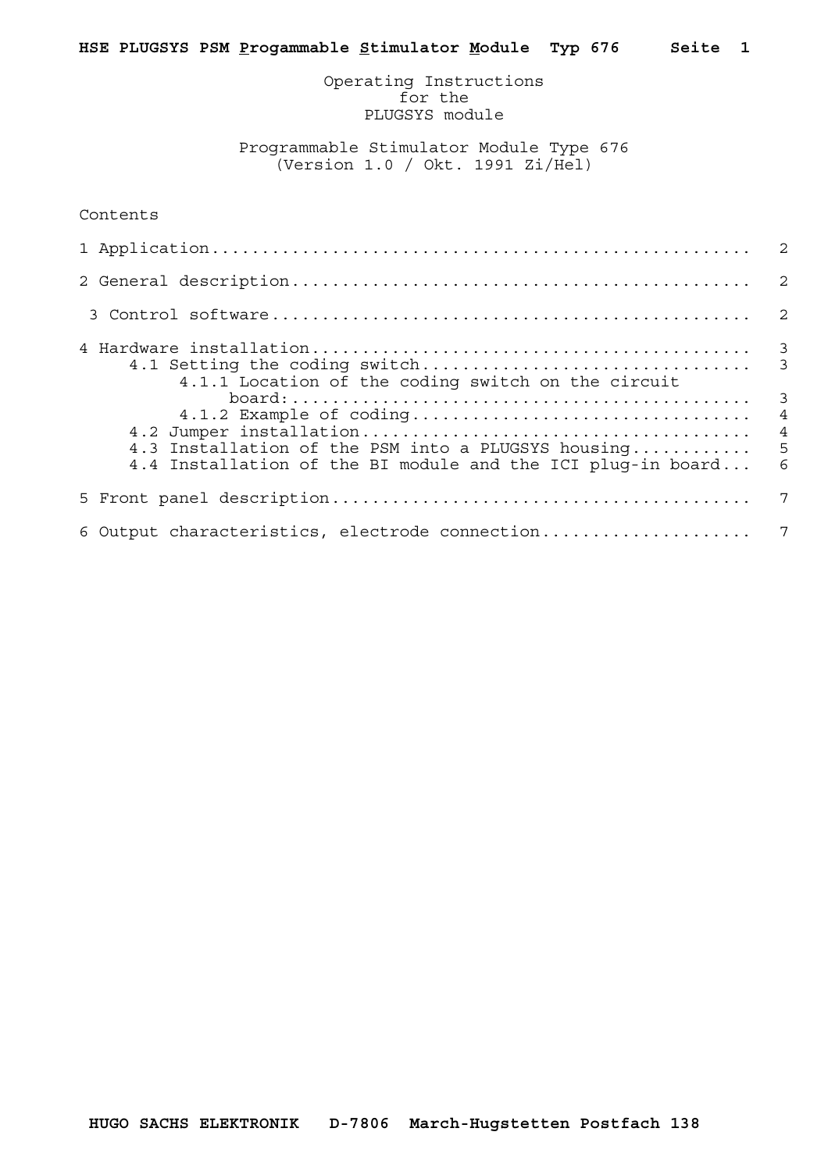Operating Instructions for the PLUGSYS module

 Programmable Stimulator Module Type 676 (Version 1.0 / Okt. 1991 Zi/Hel)

| Contents |
|----------|
|----------|

| 4.1.1 Location of the coding switch on the circuit                                                                  |   |
|---------------------------------------------------------------------------------------------------------------------|---|
| 4.3 Installation of the PSM into a PLUGSYS housing 5<br>4.4 Installation of the BI module and the ICI plug-in board | 6 |
|                                                                                                                     | 7 |
|                                                                                                                     |   |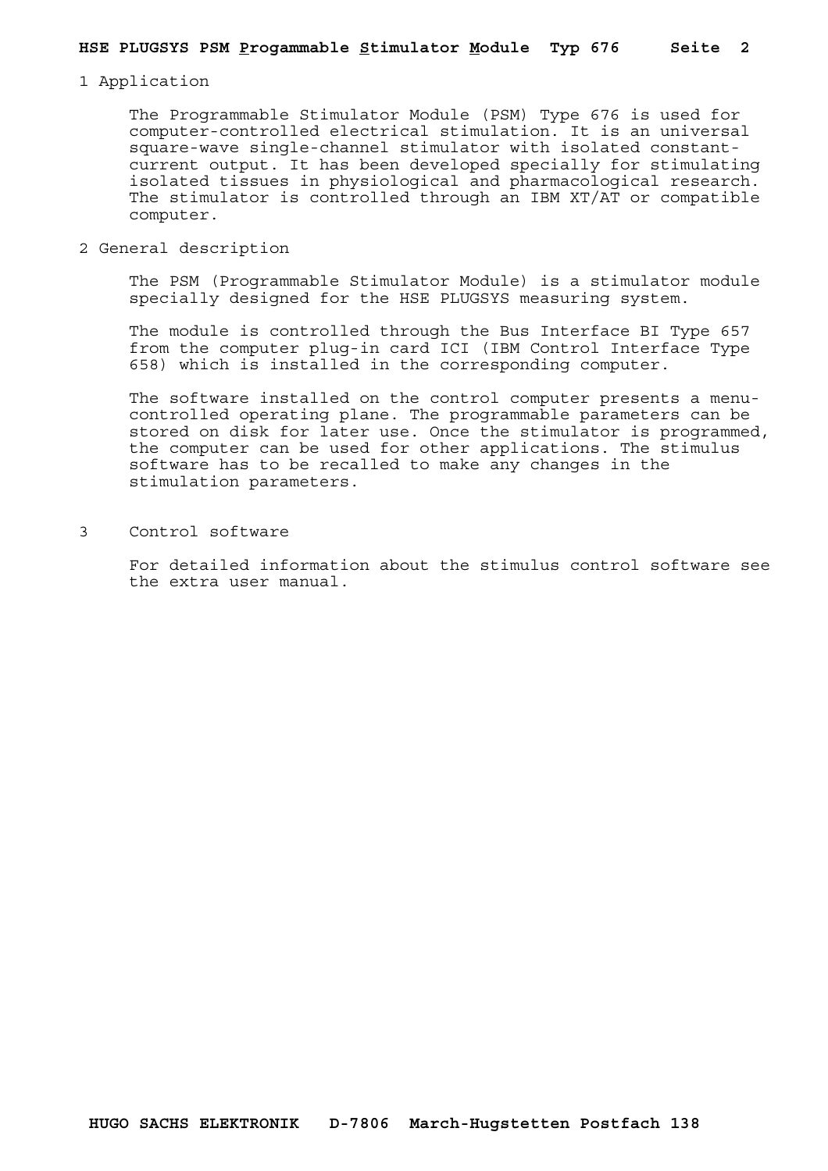1 Application

 The Programmable Stimulator Module (PSM) Type 676 is used for computer-controlled electrical stimulation. It is an universal square-wave single-channel stimulator with isolated constantcurrent output. It has been developed specially for stimulating isolated tissues in physiological and pharmacological research. The stimulator is controlled through an IBM XT/AT or compatible computer.

2 General description

 The PSM (Programmable Stimulator Module) is a stimulator module specially designed for the HSE PLUGSYS measuring system.

 The module is controlled through the Bus Interface BI Type 657 from the computer plug-in card ICI (IBM Control Interface Type 658) which is installed in the corresponding computer.

 The software installed on the control computer presents a menucontrolled operating plane. The programmable parameters can be stored on disk for later use. Once the stimulator is programmed, the computer can be used for other applications. The stimulus software has to be recalled to make any changes in the stimulation parameters.

3 Control software

 For detailed information about the stimulus control software see the extra user manual.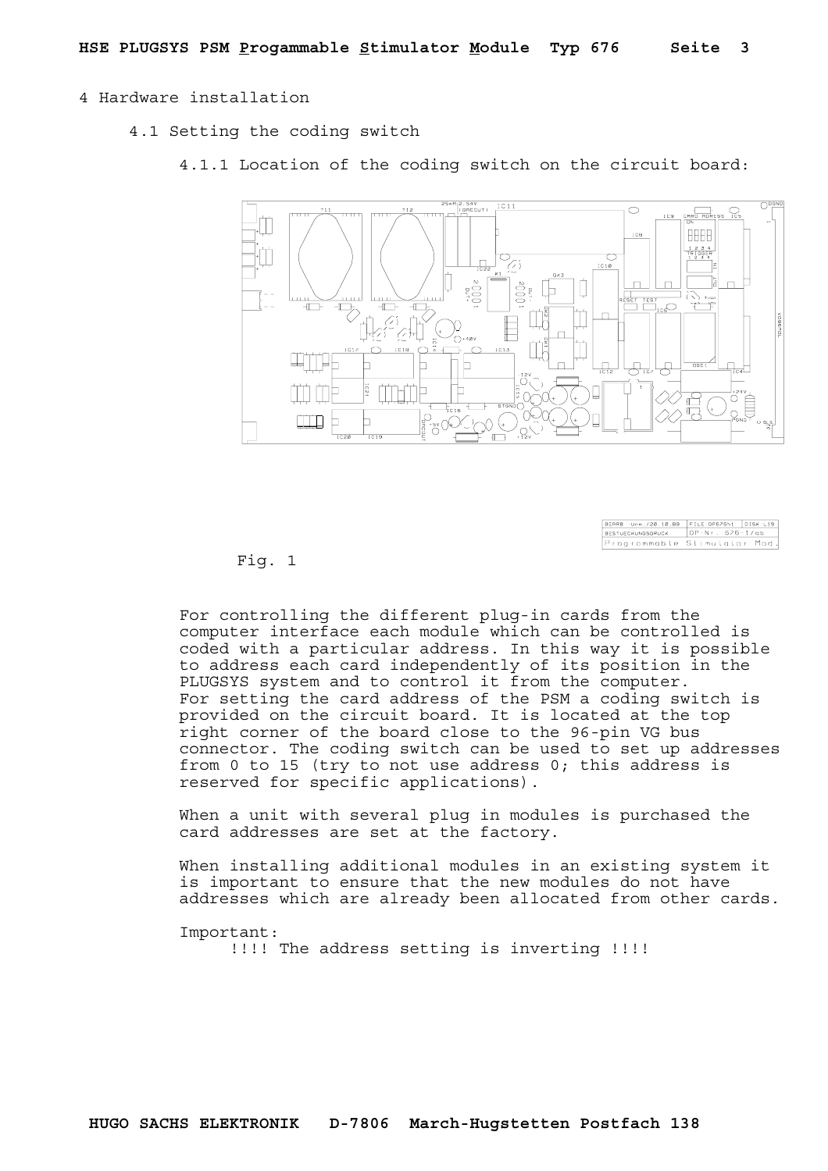## 4 Hardware installation

- 4.1 Setting the coding switch
	- 4.1.1 Location of the coding switch on the circuit board:



| BEARB : Unm. /20.10.89 FILE: DP676N1 DISK:L19 |                  |  |
|-----------------------------------------------|------------------|--|
| <b>BESTUECKUNGSDRUCK</b>                      | DP-Nr.: 676-1/ab |  |
| Programmable Stimulator Mod.                  |                  |  |

Fig. 1

 For controlling the different plug-in cards from the computer interface each module which can be controlled is coded with a particular address. In this way it is possible to address each card independently of its position in the PLUGSYS system and to control it from the computer. For setting the card address of the PSM a coding switch is provided on the circuit board. It is located at the top right corner of the board close to the 96-pin VG bus connector. The coding switch can be used to set up addresses from 0 to 15 (try to not use address 0; this address is reserved for specific applications).

 When a unit with several plug in modules is purchased the card addresses are set at the factory.

 When installing additional modules in an existing system it is important to ensure that the new modules do not have addresses which are already been allocated from other cards.

 Important: !!!! The address setting is inverting !!!!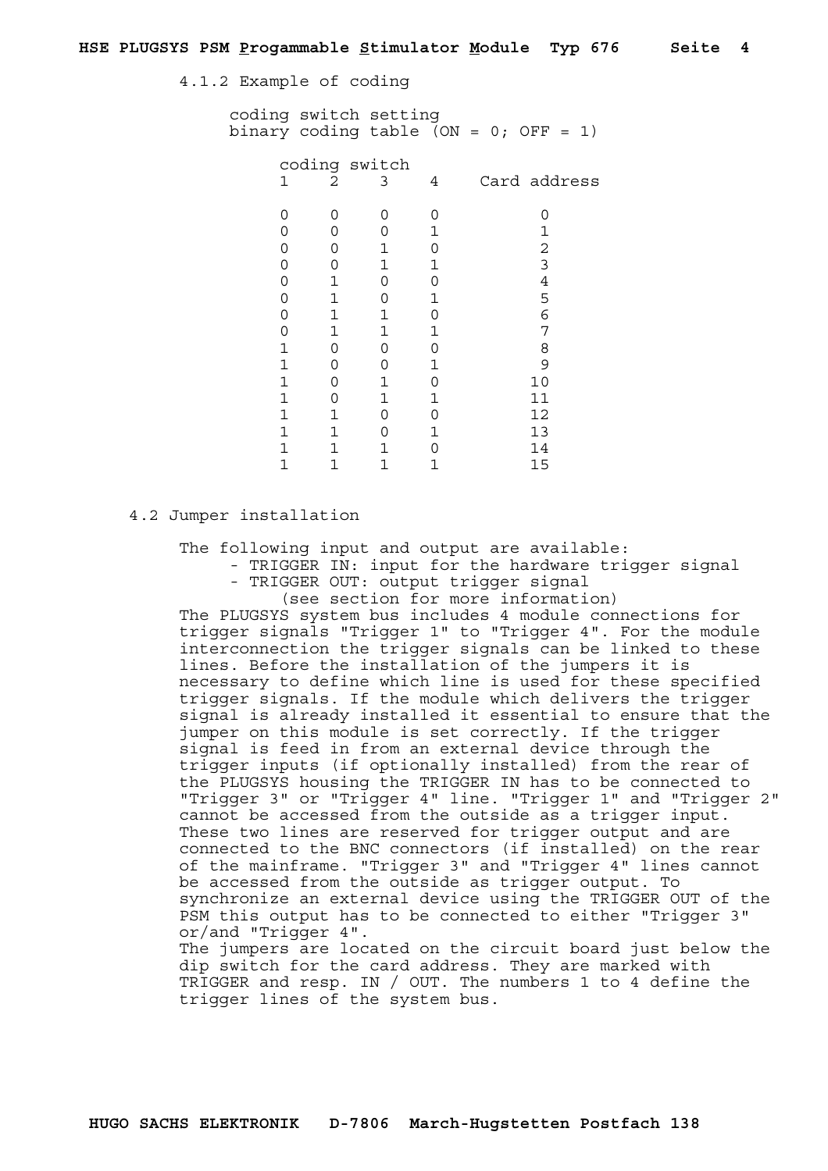4.1.2 Example of coding

 coding switch setting binary coding table (ON =  $0$ ; OFF = 1)

| coding switch |          |   |   |              |  |
|---------------|----------|---|---|--------------|--|
| 1             | 2        | 3 | 4 | Card address |  |
|               |          |   |   |              |  |
|               | ∩        | 0 |   |              |  |
|               | O        | 0 |   |              |  |
|               | Ω        |   |   | 2            |  |
|               | Ω        |   |   | っ            |  |
|               |          | 0 |   | 4            |  |
|               | 1        | Ω |   | 5            |  |
|               | 1        |   |   | 6            |  |
|               | 1        | 1 |   | 7            |  |
|               | Ω        | 0 |   | 8            |  |
|               | $\Omega$ | Ω |   | 9            |  |
|               | $\Omega$ |   |   | 10           |  |
|               | $\Omega$ | 1 |   | 11           |  |
| 1             |          | 0 |   | 12           |  |
|               | 1        | 0 |   | 13           |  |
|               |          |   |   | 14           |  |
|               |          |   |   | 15           |  |

## 4.2 Jumper installation

The following input and output are available:

- TRIGGER IN: input for the hardware trigger signal - TRIGGER OUT: output trigger signal
	- (see section for more information)

 The PLUGSYS system bus includes 4 module connections for trigger signals "Trigger 1" to "Trigger 4". For the module interconnection the trigger signals can be linked to these lines. Before the installation of the jumpers it is necessary to define which line is used for these specified trigger signals. If the module which delivers the trigger signal is already installed it essential to ensure that the jumper on this module is set correctly. If the trigger signal is feed in from an external device through the trigger inputs (if optionally installed) from the rear of the PLUGSYS housing the TRIGGER IN has to be connected to "Trigger 3" or "Trigger 4" line. "Trigger 1" and "Trigger 2" cannot be accessed from the outside as a trigger input. These two lines are reserved for trigger output and are connected to the BNC connectors (if installed) on the rear of the mainframe. "Trigger 3" and "Trigger 4" lines cannot be accessed from the outside as trigger output. To synchronize an external device using the TRIGGER OUT of the PSM this output has to be connected to either "Trigger 3" or/and "Trigger 4". The jumpers are located on the circuit board just below the

dip switch for the card address. They are marked with TRIGGER and resp. IN / OUT. The numbers 1 to 4 define the trigger lines of the system bus.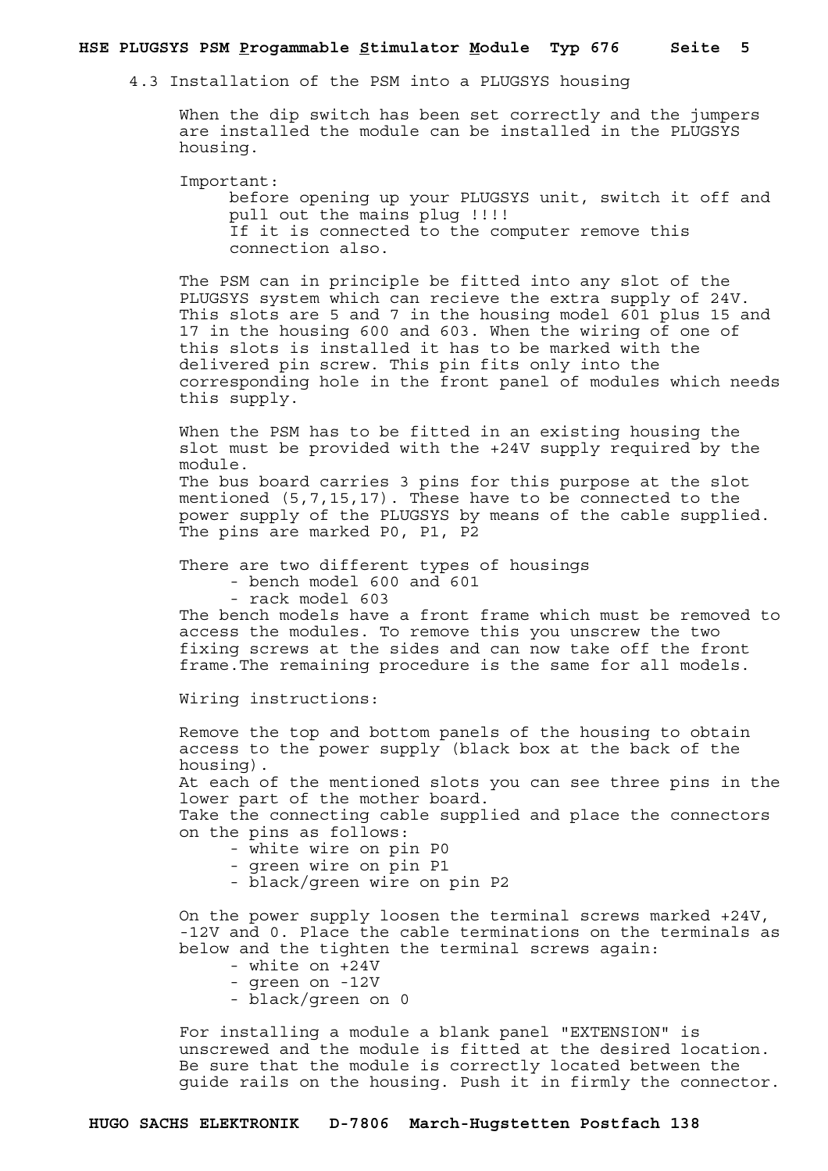## **HSE PLUGSYS PSM Progammable Stimulator Module Typ 676 Seite 5**

4.3 Installation of the PSM into a PLUGSYS housing

 When the dip switch has been set correctly and the jumpers are installed the module can be installed in the PLUGSYS housing.

 Important: before opening up your PLUGSYS unit, switch it off and pull out the mains plug !!!! If it is connected to the computer remove this connection also.

 The PSM can in principle be fitted into any slot of the PLUGSYS system which can recieve the extra supply of 24V. This slots are 5 and 7 in the housing model 601 plus 15 and 17 in the housing 600 and 603. When the wiring of one of this slots is installed it has to be marked with the delivered pin screw. This pin fits only into the corresponding hole in the front panel of modules which needs this supply.

 When the PSM has to be fitted in an existing housing the slot must be provided with the +24V supply required by the module. The bus board carries 3 pins for this purpose at the slot mentioned (5,7,15,17). These have to be connected to the power supply of the PLUGSYS by means of the cable supplied.

There are two different types of housings

- bench model 600 and 601

The pins are marked P0, P1, P2

- rack model 603

 The bench models have a front frame which must be removed to access the modules. To remove this you unscrew the two fixing screws at the sides and can now take off the front frame.The remaining procedure is the same for all models.

Wiring instructions:

 Remove the top and bottom panels of the housing to obtain access to the power supply (black box at the back of the housing).

 At each of the mentioned slots you can see three pins in the lower part of the mother board.

 Take the connecting cable supplied and place the connectors on the pins as follows:

- white wire on pin P0
- green wire on pin P1
- black/green wire on pin P2

 On the power supply loosen the terminal screws marked +24V, -12V and 0. Place the cable terminations on the terminals as below and the tighten the terminal screws again:

- white on +24V
- green on -12V
- black/green on 0

 For installing a module a blank panel "EXTENSION" is unscrewed and the module is fitted at the desired location. Be sure that the module is correctly located between the guide rails on the housing. Push it in firmly the connector.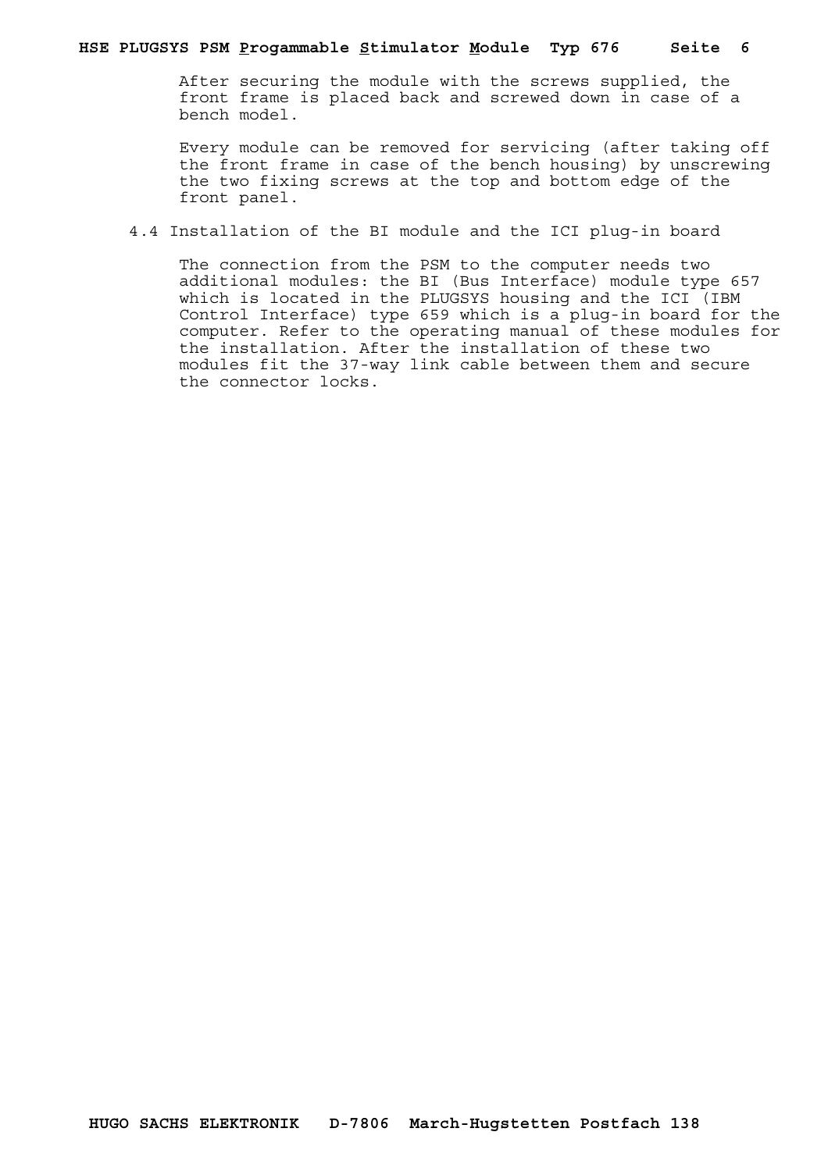After securing the module with the screws supplied, the front frame is placed back and screwed down in case of a bench model.

 Every module can be removed for servicing (after taking off the front frame in case of the bench housing) by unscrewing the two fixing screws at the top and bottom edge of the front panel.

4.4 Installation of the BI module and the ICI plug-in board

 The connection from the PSM to the computer needs two additional modules: the BI (Bus Interface) module type 657 which is located in the PLUGSYS housing and the ICI (IBM Control Interface) type 659 which is a plug-in board for the computer. Refer to the operating manual of these modules for the installation. After the installation of these two modules fit the 37-way link cable between them and secure the connector locks.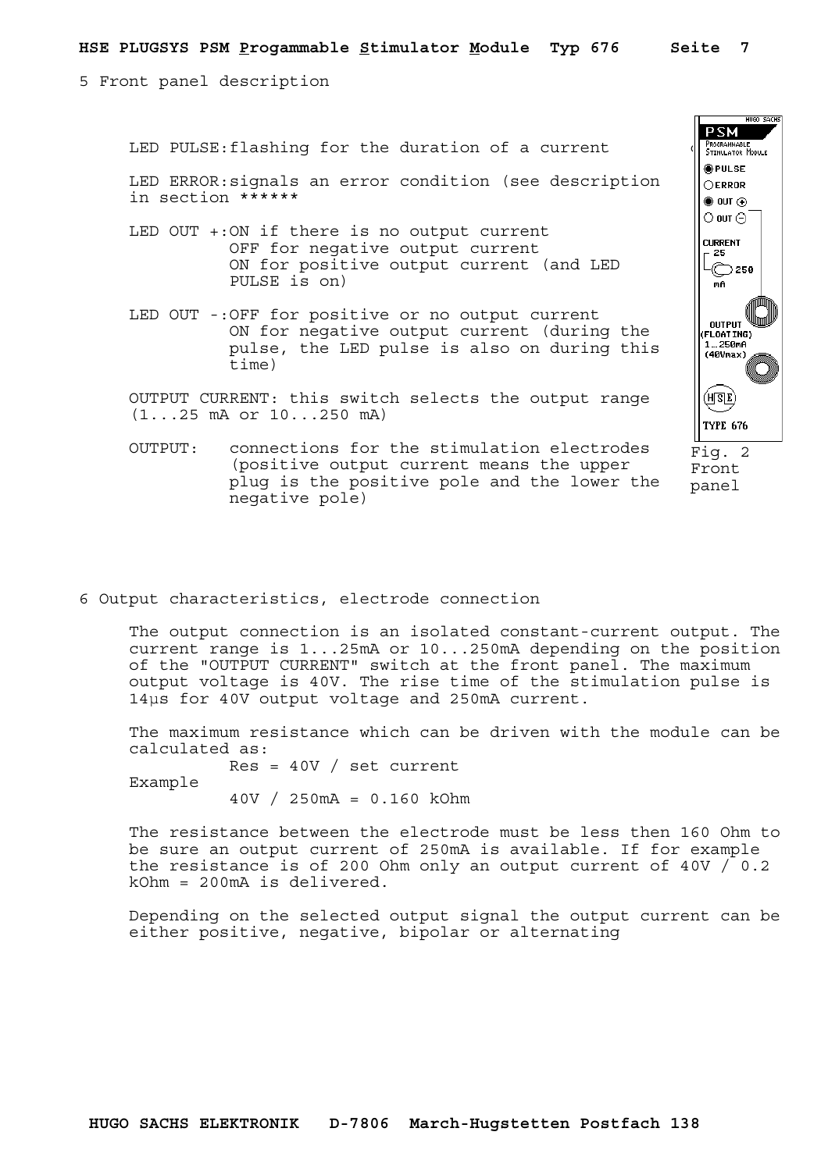$\overline{\mathsf{PSM}}$ 

**OPULSE OERROR**  $\bullet$  out  $\odot$  $\odot$  out  $\odot$ **CURRENT** 25  $\odot$  250

**MIGO CACHO** 

5 Front panel description

LED PULSE: flashing for the duration of a current  $\sqrt{\int_{STMULATION}^{FrostrainMELL}}$ 

 LED ERROR:signals an error condition (see description in section \*\*\*\*\*\*

- LED OUT +:ON if there is no output current OFF for negative output current ON for positive output current (and LED PULSE is on)
- LED OUT -:OFF for positive or no output current ON for negative output current (during the pulse, the LED pulse is also on during this time)

 OUTPUT CURRENT: this switch selects the output range (1...25 mA or 10...250 mA)

mA **OUTPUT** (FLOAT ING)<br>1...250mA (40Vmax)  $(\overline{\texttt{HSE}})$ **TYPE 676** Fig. 2 Front

panel

- OUTPUT: connections for the stimulation electrodes (positive output current means the upper plug is the positive pole and the lower the negative pole)
- 6 Output characteristics, electrode connection

 The output connection is an isolated constant-current output. The current range is 1...25mA or 10...250mA depending on the position of the "OUTPUT CURRENT" switch at the front panel. The maximum output voltage is 40V. The rise time of the stimulation pulse is 14µs for 40V output voltage and 250mA current.

 The maximum resistance which can be driven with the module can be calculated as:

 $Res = 40V / set current$ 

Example

40V / 250mA = 0.160 kOhm

 The resistance between the electrode must be less then 160 Ohm to be sure an output current of 250mA is available. If for example the resistance is of 200 Ohm only an output current of 40V / 0.2 kOhm = 200mA is delivered.

 Depending on the selected output signal the output current can be either positive, negative, bipolar or alternating